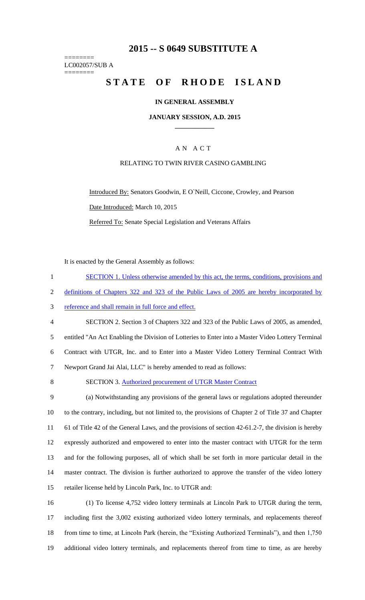## **2015 -- S 0649 SUBSTITUTE A**

======== LC002057/SUB A ========

# **STATE OF RHODE ISLAND**

#### **IN GENERAL ASSEMBLY**

#### **JANUARY SESSION, A.D. 2015 \_\_\_\_\_\_\_\_\_\_\_\_**

### A N A C T

# RELATING TO TWIN RIVER CASINO GAMBLING

Introduced By: Senators Goodwin, E O`Neill, Ciccone, Crowley, and Pearson Date Introduced: March 10, 2015 Referred To: Senate Special Legislation and Veterans Affairs

It is enacted by the General Assembly as follows:

|   | SECTION 1. Unless otherwise amended by this act, the terms, conditions, provisions and    |
|---|-------------------------------------------------------------------------------------------|
|   | definitions of Chapters 322 and 323 of the Public Laws of 2005 are hereby incorporated by |
| 3 | reference and shall remain in full force and effect.                                      |

 SECTION 2. Section 3 of Chapters 322 and 323 of the Public Laws of 2005, as amended, entitled "An Act Enabling the Division of Lotteries to Enter into a Master Video Lottery Terminal Contract with UTGR, Inc. and to Enter into a Master Video Lottery Terminal Contract With Newport Grand Jai Alai, LLC" is hereby amended to read as follows:

8 SECTION 3. Authorized procurement of UTGR Master Contract

 (a) Notwithstanding any provisions of the general laws or regulations adopted thereunder to the contrary, including, but not limited to, the provisions of Chapter 2 of Title 37 and Chapter 61 of Title 42 of the General Laws, and the provisions of section 42-61.2-7, the division is hereby expressly authorized and empowered to enter into the master contract with UTGR for the term and for the following purposes, all of which shall be set forth in more particular detail in the master contract. The division is further authorized to approve the transfer of the video lottery retailer license held by Lincoln Park, Inc. to UTGR and:

 (1) To license 4,752 video lottery terminals at Lincoln Park to UTGR during the term, including first the 3,002 existing authorized video lottery terminals, and replacements thereof from time to time, at Lincoln Park (herein, the "Existing Authorized Terminals"), and then 1,750 additional video lottery terminals, and replacements thereof from time to time, as are hereby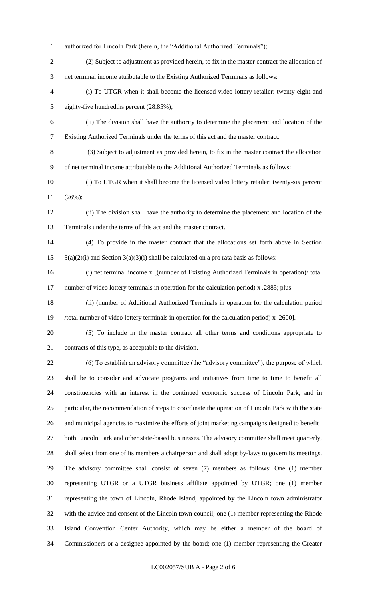- authorized for Lincoln Park (herein, the "Additional Authorized Terminals");
- (2) Subject to adjustment as provided herein, to fix in the master contract the allocation of net terminal income attributable to the Existing Authorized Terminals as follows:
- (i) To UTGR when it shall become the licensed video lottery retailer: twenty-eight and eighty-five hundredths percent (28.85%);
- (ii) The division shall have the authority to determine the placement and location of the Existing Authorized Terminals under the terms of this act and the master contract.
- (3) Subject to adjustment as provided herein, to fix in the master contract the allocation of net terminal income attributable to the Additional Authorized Terminals as follows:
- (i) To UTGR when it shall become the licensed video lottery retailer: twenty-six percent (26%);
- (ii) The division shall have the authority to determine the placement and location of the Terminals under the terms of this act and the master contract.
- (4) To provide in the master contract that the allocations set forth above in Section  $15 \quad 3(a)(2)(i)$  and Section  $3(a)(3)(i)$  shall be calculated on a pro rata basis as follows:
- (i) net terminal income x [(number of Existing Authorized Terminals in operation)/ total 17 number of video lottery terminals in operation for the calculation period) x .2885; plus
- (ii) (number of Additional Authorized Terminals in operation for the calculation period /total number of video lottery terminals in operation for the calculation period) x .2600].
- (5) To include in the master contract all other terms and conditions appropriate to contracts of this type, as acceptable to the division.
- (6) To establish an advisory committee (the "advisory committee"), the purpose of which shall be to consider and advocate programs and initiatives from time to time to benefit all constituencies with an interest in the continued economic success of Lincoln Park, and in particular, the recommendation of steps to coordinate the operation of Lincoln Park with the state and municipal agencies to maximize the efforts of joint marketing campaigns designed to benefit

27 both Lincoln Park and other state-based businesses. The advisory committee shall meet quarterly, shall select from one of its members a chairperson and shall adopt by-laws to govern its meetings. The advisory committee shall consist of seven (7) members as follows: One (1) member representing UTGR or a UTGR business affiliate appointed by UTGR; one (1) member representing the town of Lincoln, Rhode Island, appointed by the Lincoln town administrator with the advice and consent of the Lincoln town council; one (1) member representing the Rhode Island Convention Center Authority, which may be either a member of the board of Commissioners or a designee appointed by the board; one (1) member representing the Greater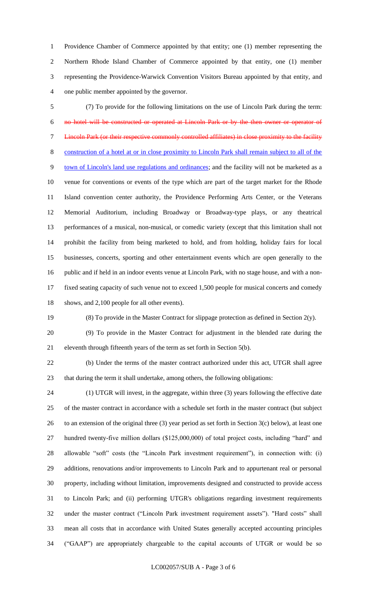Providence Chamber of Commerce appointed by that entity; one (1) member representing the Northern Rhode Island Chamber of Commerce appointed by that entity, one (1) member representing the Providence-Warwick Convention Visitors Bureau appointed by that entity, and one public member appointed by the governor.

 (7) To provide for the following limitations on the use of Lincoln Park during the term: no hotel will be constructed or operated at Lincoln Park or by the then owner or operator of Lincoln Park (or their respective commonly controlled affiliates) in close proximity to the facility construction of a hotel at or in close proximity to Lincoln Park shall remain subject to all of the town of Lincoln's land use regulations and ordinances; and the facility will not be marketed as a venue for conventions or events of the type which are part of the target market for the Rhode Island convention center authority, the Providence Performing Arts Center, or the Veterans Memorial Auditorium, including Broadway or Broadway-type plays, or any theatrical performances of a musical, non-musical, or comedic variety (except that this limitation shall not prohibit the facility from being marketed to hold, and from holding, holiday fairs for local businesses, concerts, sporting and other entertainment events which are open generally to the public and if held in an indoor events venue at Lincoln Park, with no stage house, and with a non- fixed seating capacity of such venue not to exceed 1,500 people for musical concerts and comedy shows, and 2,100 people for all other events).

(8) To provide in the Master Contract for slippage protection as defined in Section 2(y).

 (9) To provide in the Master Contract for adjustment in the blended rate during the eleventh through fifteenth years of the term as set forth in Section 5(b).

 (b) Under the terms of the master contract authorized under this act, UTGR shall agree that during the term it shall undertake, among others, the following obligations:

 (1) UTGR will invest, in the aggregate, within three (3) years following the effective date of the master contract in accordance with a schedule set forth in the master contract (but subject 26 to an extension of the original three (3) year period as set forth in Section  $3(c)$  below), at least one hundred twenty-five million dollars (\$125,000,000) of total project costs, including "hard" and allowable "soft" costs (the "Lincoln Park investment requirement"), in connection with: (i) additions, renovations and/or improvements to Lincoln Park and to appurtenant real or personal property, including without limitation, improvements designed and constructed to provide access to Lincoln Park; and (ii) performing UTGR's obligations regarding investment requirements under the master contract ("Lincoln Park investment requirement assets"). "Hard costs" shall mean all costs that in accordance with United States generally accepted accounting principles ("GAAP") are appropriately chargeable to the capital accounts of UTGR or would be so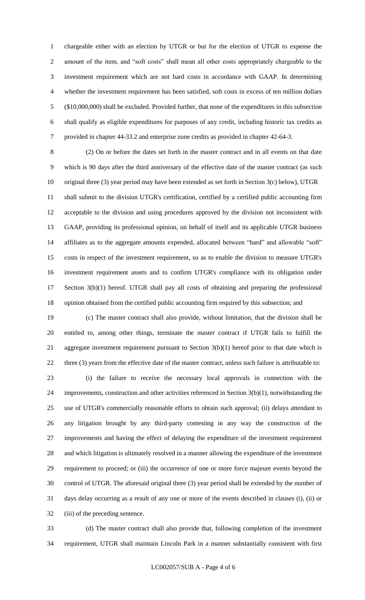chargeable either with an election by UTGR or but for the election of UTGR to expense the amount of the item, and "soft costs" shall mean all other costs appropriately chargeable to the investment requirement which are not hard costs in accordance with GAAP. In determining whether the investment requirement has been satisfied, soft costs in excess of ten million dollars (\$10,000,000) shall be excluded. Provided further, that none of the expenditures in this subsection shall qualify as eligible expenditures for purposes of any credit, including historic tax credits as provided in chapter 44-33.2 and enterprise zone credits as provided in chapter 42-64-3.

 (2) On or before the dates set forth in the master contract and in all events on that date which is 90 days after the third anniversary of the effective date of the master contract (as such original three (3) year period may have been extended as set forth in Section 3(c) below), UTGR shall submit to the division UTGR's certification, certified by a certified public accounting firm acceptable to the division and using procedures approved by the division not inconsistent with GAAP, providing its professional opinion, on behalf of itself and its applicable UTGR business affiliates as to the aggregate amounts expended, allocated between "hard" and allowable "soft" costs in respect of the investment requirement, so as to enable the division to measure UTGR's investment requirement assets and to confirm UTGR's compliance with its obligation under Section 3(b)(1) hereof. UTGR shall pay all costs of obtaining and preparing the professional opinion obtained from the certified public accounting firm required by this subsection; and

 (c) The master contract shall also provide, without limitation, that the division shall be entitled to, among other things, terminate the master contract if UTGR fails to fulfill the 21 aggregate investment requirement pursuant to Section 3(b)(1) hereof prior to that date which is 22 three (3) years from the effective date of the master contract, unless such failure is attributable to:

 (i) the failure to receive the necessary local approvals in connection with the improvements, construction and other activities referenced in Section 3(b)(1), notwithstanding the use of UTGR's commercially reasonable efforts to obtain such approval; (ii) delays attendant to any litigation brought by any third-party contesting in any way the construction of the improvements and having the effect of delaying the expenditure of the investment requirement and which litigation is ultimately resolved in a manner allowing the expenditure of the investment requirement to proceed; or (iii) the occurrence of one or more force majeure events beyond the control of UTGR. The aforesaid original three (3) year period shall be extended by the number of days delay occurring as a result of any one or more of the events described in clauses (i), (ii) or (iii) of the preceding sentence.

 (d) The master contract shall also provide that, following completion of the investment requirement, UTGR shall maintain Lincoln Park in a manner substantially consistent with first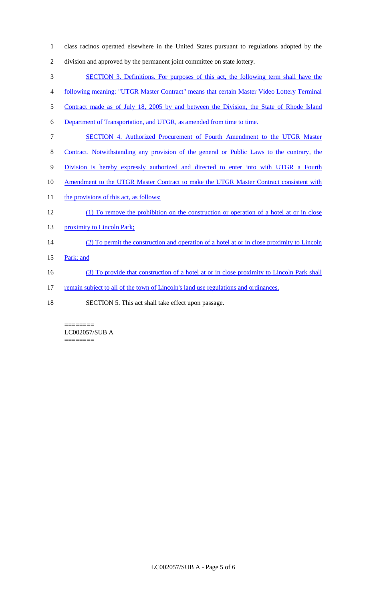- 1 class racinos operated elsewhere in the United States pursuant to regulations adopted by the
- 2 division and approved by the permanent joint committee on state lottery.
- 3 SECTION 3. Definitions. For purposes of this act, the following term shall have the
- 4 following meaning: "UTGR Master Contract" means that certain Master Video Lottery Terminal
- 5 Contract made as of July 18, 2005 by and between the Division, the State of Rhode Island
- 6 Department of Transportation, and UTGR, as amended from time to time.
- 7 SECTION 4. Authorized Procurement of Fourth Amendment to the UTGR Master
- 8 Contract. Notwithstanding any provision of the general or Public Laws to the contrary, the
- 9 Division is hereby expressly authorized and directed to enter into with UTGR a Fourth
- 10 Amendment to the UTGR Master Contract to make the UTGR Master Contract consistent with
- 11 the provisions of this act, as follows:
- 12 (1) To remove the prohibition on the construction or operation of a hotel at or in close
- 13 proximity to Lincoln Park;

### 14 (2) To permit the construction and operation of a hotel at or in close proximity to Lincoln

- 15 Park; and
- 16 (3) To provide that construction of a hotel at or in close proximity to Lincoln Park shall
- 17 remain subject to all of the town of Lincoln's land use regulations and ordinances.
- 18 SECTION 5. This act shall take effect upon passage.

======== LC002057/SUB A ========